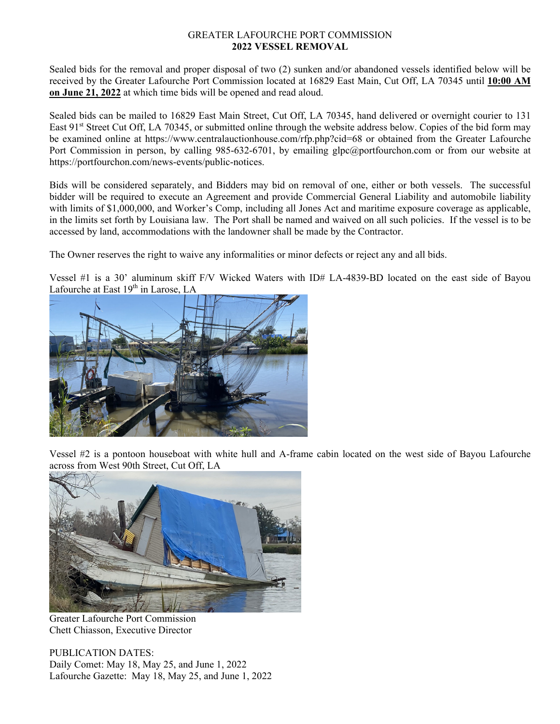#### GREATER LAFOURCHE PORT COMMISSION **2022 VESSEL REMOVAL**

Sealed bids for the removal and proper disposal of two (2) sunken and/or abandoned vessels identified below will be received by the Greater Lafourche Port Commission located at 16829 East Main, Cut Off, LA 70345 until **10:00 AM on June 21, 2022** at which time bids will be opened and read aloud.

Sealed bids can be mailed to 16829 East Main Street, Cut Off, LA 70345, hand delivered or overnight courier to 131 East 91<sup>st</sup> Street Cut Off, LA 70345, or submitted online through the website address below. Copies of the bid form may be examined online at https://www.centralauctionhouse.com/rfp.php?cid=68 or obtained from the Greater Lafourche Port Commission in person, by calling 985-632-6701, by emailing glpc@portfourchon.com or from our website at https://portfourchon.com/news-events/public-notices.

Bids will be considered separately, and Bidders may bid on removal of one, either or both vessels. The successful bidder will be required to execute an Agreement and provide Commercial General Liability and automobile liability with limits of \$1,000,000, and Worker's Comp, including all Jones Act and maritime exposure coverage as applicable, in the limits set forth by Louisiana law. The Port shall be named and waived on all such policies. If the vessel is to be accessed by land, accommodations with the landowner shall be made by the Contractor.

The Owner reserves the right to waive any informalities or minor defects or reject any and all bids.

Vessel #1 is a 30' aluminum skiff F/V Wicked Waters with ID# LA-4839-BD located on the east side of Bayou Lafourche at East 19<sup>th</sup> in Larose, LA



Vessel #2 is a pontoon houseboat with white hull and A-frame cabin located on the west side of Bayou Lafourche across from West 90th Street, Cut Off, LA



Greater Lafourche Port Commission Chett Chiasson, Executive Director

PUBLICATION DATES: Daily Comet: May 18, May 25, and June 1, 2022 Lafourche Gazette: May 18, May 25, and June 1, 2022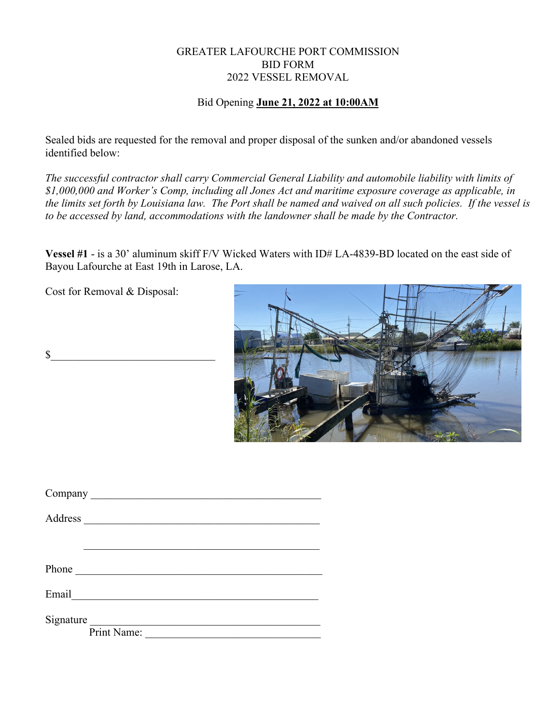# GREATER LAFOURCHE PORT COMMISSION BID FORM 2022 VESSEL REMOVAL

### Bid Opening **June 21, 2022 at 10:00AM**

Sealed bids are requested for the removal and proper disposal of the sunken and/or abandoned vessels identified below:

*The successful contractor shall carry Commercial General Liability and automobile liability with limits of \$1,000,000 and Worker's Comp, including all Jones Act and maritime exposure coverage as applicable, in the limits set forth by Louisiana law. The Port shall be named and waived on all such policies. If the vessel is to be accessed by land, accommodations with the landowner shall be made by the Contractor.*

**Vessel #1** - is a 30' aluminum skiff F/V Wicked Waters with ID# LA-4839-BD located on the east side of Bayou Lafourche at East 19th in Larose, LA.

Cost for Removal & Disposal:

 $\mathbb{S}$ 



| Address     |
|-------------|
|             |
|             |
| Phone       |
| Email       |
| Signature   |
| Print Name: |